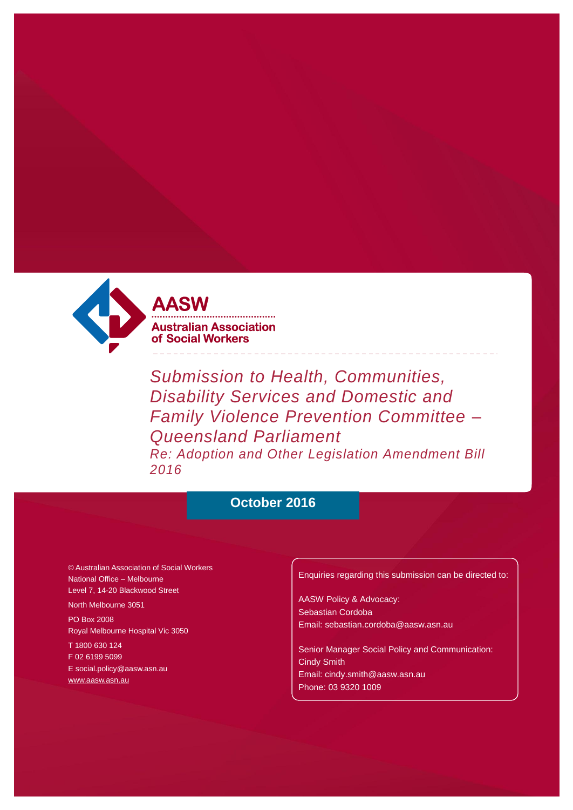

*Submission to Health, Communities, Disability Services and Domestic and Family Violence Prevention Committee – Queensland Parliament Re: Adoption and Other Legislation Amendment Bill 2016*

# **October 2016**

© Australian Association of Social Workers National Office – Melbourne Level 7, 14-20 Blackwood Street

North Melbourne 3051 PO Box 2008 Royal Melbourne Hospital Vic 3050

T 1800 630 124 F 02 6199 5099 [E social.policy@aasw.asn.au](mailto:advocacy@aasw.asn.au) [www.aasw.asn.au](http://www.aasw.asn.au/)

Enquiries regarding this submission can be directed to:

AASW Policy & Advocacy: Sebastian Cordoba [Email: sebastian.cordoba@aasw.asn.au](mailto:ceo@aasw.asn.au)

Senior Manager Social Policy and Communication: Cindy Smith [Email: cindy.smith@aasw.asn.au](mailto:stephen.brand@aasw.asn.au)  Phone: 03 9320 1009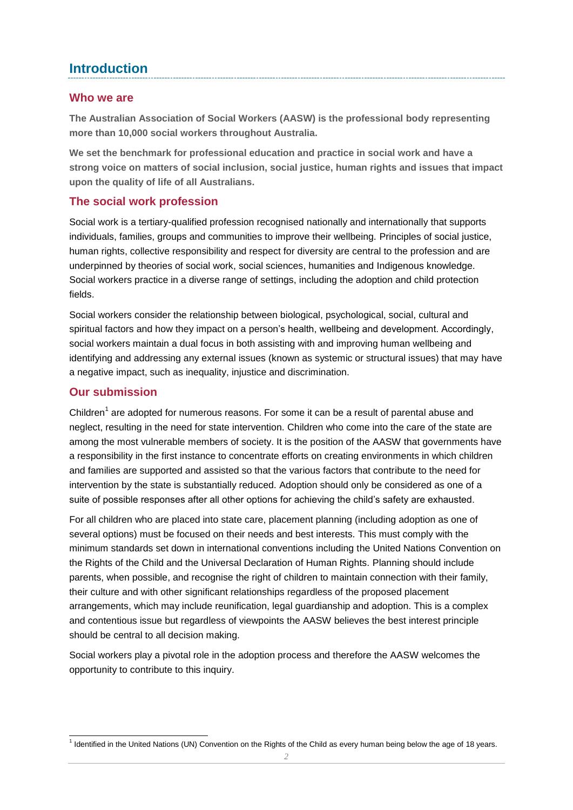### **Introduction**

#### **Who we are**

**The Australian Association of Social Workers (AASW) is the professional body representing more than 10,000 social workers throughout Australia.** 

**We set the benchmark for professional education and practice in social work and have a strong voice on matters of social inclusion, social justice, human rights and issues that impact upon the quality of life of all Australians.**

### **The social work profession**

Social work is a tertiary-qualified profession recognised nationally and internationally that supports individuals, families, groups and communities to improve their wellbeing. Principles of social justice, human rights, collective responsibility and respect for diversity are central to the profession and are underpinned by theories of social work, social sciences, humanities and Indigenous knowledge. Social workers practice in a diverse range of settings, including the adoption and child protection fields.

Social workers consider the relationship between biological, psychological, social, cultural and spiritual factors and how they impact on a person's health, wellbeing and development. Accordingly, social workers maintain a dual focus in both assisting with and improving human wellbeing and identifying and addressing any external issues (known as systemic or structural issues) that may have a negative impact, such as inequality, injustice and discrimination.

### **Our submission**

Children<sup>1</sup> are adopted for numerous reasons. For some it can be a result of parental abuse and neglect, resulting in the need for state intervention. Children who come into the care of the state are among the most vulnerable members of society. It is the position of the AASW that governments have a responsibility in the first instance to concentrate efforts on creating environments in which children and families are supported and assisted so that the various factors that contribute to the need for intervention by the state is substantially reduced. Adoption should only be considered as one of a suite of possible responses after all other options for achieving the child's safety are exhausted.

For all children who are placed into state care, placement planning (including adoption as one of several options) must be focused on their needs and best interests. This must comply with the minimum standards set down in international conventions including the United Nations Convention on the Rights of the Child and the Universal Declaration of Human Rights. Planning should include parents, when possible, and recognise the right of children to maintain connection with their family, their culture and with other significant relationships regardless of the proposed placement arrangements, which may include reunification, legal guardianship and adoption. This is a complex and contentious issue but regardless of viewpoints the AASW believes the best interest principle should be central to all decision making.

Social workers play a pivotal role in the adoption process and therefore the AASW welcomes the opportunity to contribute to this inquiry.

 1 Identified in the United Nations (UN) Convention on the Rights of the Child as every human being below the age of 18 years.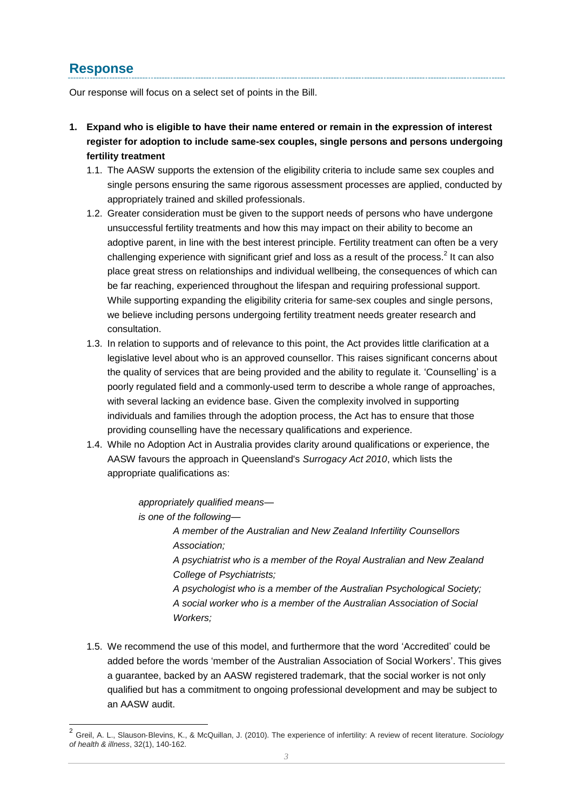## **Response**

Our response will focus on a select set of points in the Bill.

- **1. Expand who is eligible to have their name entered or remain in the expression of interest register for adoption to include same-sex couples, single persons and persons undergoing fertility treatment**
	- 1.1. The AASW supports the extension of the eligibility criteria to include same sex couples and single persons ensuring the same rigorous assessment processes are applied, conducted by appropriately trained and skilled professionals.
	- 1.2. Greater consideration must be given to the support needs of persons who have undergone unsuccessful fertility treatments and how this may impact on their ability to become an adoptive parent, in line with the best interest principle. Fertility treatment can often be a very challenging experience with significant grief and loss as a result of the process.<sup>2</sup> It can also place great stress on relationships and individual wellbeing, the consequences of which can be far reaching, experienced throughout the lifespan and requiring professional support. While supporting expanding the eligibility criteria for same-sex couples and single persons, we believe including persons undergoing fertility treatment needs greater research and consultation.
	- 1.3. In relation to supports and of relevance to this point, the Act provides little clarification at a legislative level about who is an approved counsellor. This raises significant concerns about the quality of services that are being provided and the ability to regulate it. 'Counselling' is a poorly regulated field and a commonly-used term to describe a whole range of approaches, with several lacking an evidence base. Given the complexity involved in supporting individuals and families through the adoption process, the Act has to ensure that those providing counselling have the necessary qualifications and experience.
	- 1.4. While no Adoption Act in Australia provides clarity around qualifications or experience, the AASW favours the approach in Queensland's *Surrogacy Act 2010*, which lists the appropriate qualifications as:

*appropriately qualified means is one of the following—*

> *A member of the Australian and New Zealand Infertility Counsellors Association;*

*A psychiatrist who is a member of the Royal Australian and New Zealand College of Psychiatrists;*

*A psychologist who is a member of the Australian Psychological Society; A social worker who is a member of the Australian Association of Social Workers;* 

1.5. We recommend the use of this model, and furthermore that the word 'Accredited' could be added before the words 'member of the Australian Association of Social Workers'. This gives a guarantee, backed by an AASW registered trademark, that the social worker is not only qualified but has a commitment to ongoing professional development and may be subject to an AASW audit.

 2 Greil, A. L., Slauson‐Blevins, K., & McQuillan, J. (2010). The experience of infertility: A review of recent literature. *Sociology of health & illness*, 32(1), 140-162.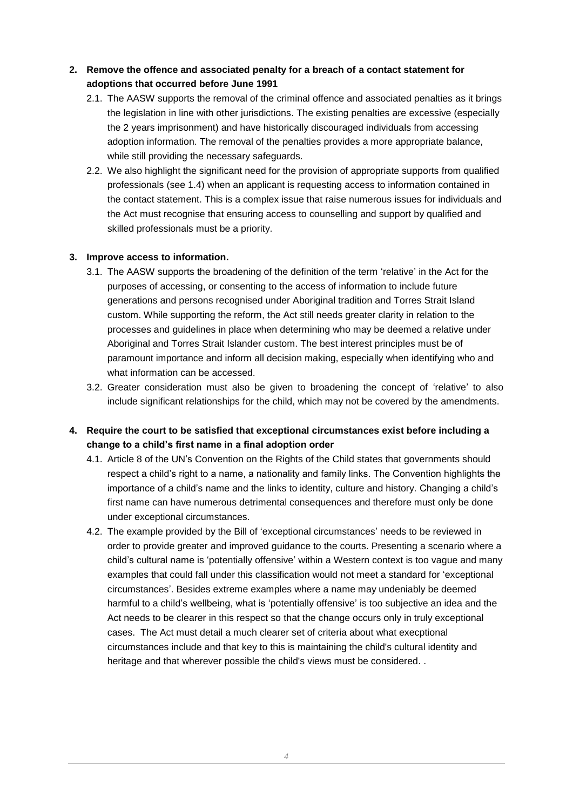#### **2. Remove the offence and associated penalty for a breach of a contact statement for adoptions that occurred before June 1991**

- 2.1. The AASW supports the removal of the criminal offence and associated penalties as it brings the legislation in line with other jurisdictions. The existing penalties are excessive (especially the 2 years imprisonment) and have historically discouraged individuals from accessing adoption information. The removal of the penalties provides a more appropriate balance, while still providing the necessary safeguards.
- 2.2. We also highlight the significant need for the provision of appropriate supports from qualified professionals (see 1.4) when an applicant is requesting access to information contained in the contact statement. This is a complex issue that raise numerous issues for individuals and the Act must recognise that ensuring access to counselling and support by qualified and skilled professionals must be a priority.

#### **3. Improve access to information.**

- 3.1. The AASW supports the broadening of the definition of the term 'relative' in the Act for the purposes of accessing, or consenting to the access of information to include future generations and persons recognised under Aboriginal tradition and Torres Strait Island custom. While supporting the reform, the Act still needs greater clarity in relation to the processes and guidelines in place when determining who may be deemed a relative under Aboriginal and Torres Strait Islander custom. The best interest principles must be of paramount importance and inform all decision making, especially when identifying who and what information can be accessed.
- 3.2. Greater consideration must also be given to broadening the concept of 'relative' to also include significant relationships for the child, which may not be covered by the amendments.

#### **4. Require the court to be satisfied that exceptional circumstances exist before including a change to a child's first name in a final adoption order**

- 4.1. Article 8 of the UN's Convention on the Rights of the Child states that governments should respect a child's right to a name, a nationality and family links. The Convention highlights the importance of a child's name and the links to identity, culture and history. Changing a child's first name can have numerous detrimental consequences and therefore must only be done under exceptional circumstances.
- 4.2. The example provided by the Bill of 'exceptional circumstances' needs to be reviewed in order to provide greater and improved guidance to the courts. Presenting a scenario where a child's cultural name is 'potentially offensive' within a Western context is too vague and many examples that could fall under this classification would not meet a standard for 'exceptional circumstances'. Besides extreme examples where a name may undeniably be deemed harmful to a child's wellbeing, what is 'potentially offensive' is too subjective an idea and the Act needs to be clearer in this respect so that the change occurs only in truly exceptional cases. The Act must detail a much clearer set of criteria about what execptional circumstances include and that key to this is maintaining the child's cultural identity and heritage and that wherever possible the child's views must be considered. .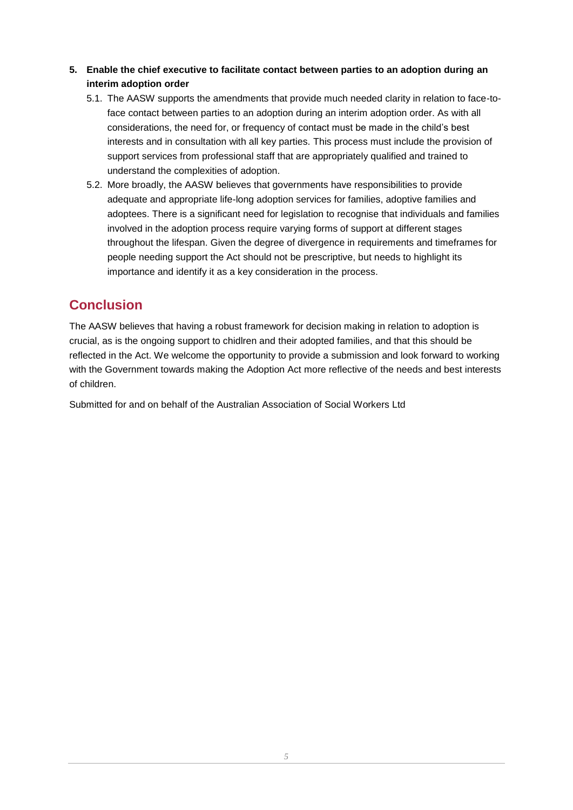- **5. Enable the chief executive to facilitate contact between parties to an adoption during an interim adoption order**
	- 5.1. The AASW supports the amendments that provide much needed clarity in relation to face-toface contact between parties to an adoption during an interim adoption order. As with all considerations, the need for, or frequency of contact must be made in the child's best interests and in consultation with all key parties. This process must include the provision of support services from professional staff that are appropriately qualified and trained to understand the complexities of adoption.
	- 5.2. More broadly, the AASW believes that governments have responsibilities to provide adequate and appropriate life-long adoption services for families, adoptive families and adoptees. There is a significant need for legislation to recognise that individuals and families involved in the adoption process require varying forms of support at different stages throughout the lifespan. Given the degree of divergence in requirements and timeframes for people needing support the Act should not be prescriptive, but needs to highlight its importance and identify it as a key consideration in the process.

## **Conclusion**

The AASW believes that having a robust framework for decision making in relation to adoption is crucial, as is the ongoing support to chidlren and their adopted families, and that this should be reflected in the Act. We welcome the opportunity to provide a submission and look forward to working with the Government towards making the Adoption Act more reflective of the needs and best interests of children.

Submitted for and on behalf of the Australian Association of Social Workers Ltd